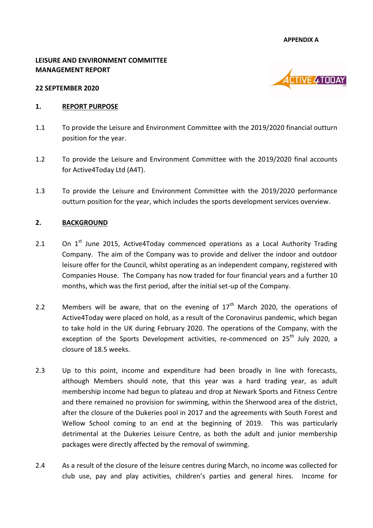**APPENDIX A**

#### **LEISURE AND ENVIRONMENT COMMITTEE MANAGEMENT REPORT**



#### **22 SEPTEMBER 2020**

#### **1. REPORT PURPOSE**

- 1.1 To provide the Leisure and Environment Committee with the 2019/2020 financial outturn position for the year.
- 1.2 To provide the Leisure and Environment Committee with the 2019/2020 final accounts for Active4Today Ltd (A4T).
- 1.3 To provide the Leisure and Environment Committee with the 2019/2020 performance outturn position for the year, which includes the sports development services overview.

#### **2. BACKGROUND**

- 2.1 On  $1^{st}$  June 2015, Active4Today commenced operations as a Local Authority Trading Company. The aim of the Company was to provide and deliver the indoor and outdoor leisure offer for the Council, whilst operating as an independent company, registered with Companies House. The Company has now traded for four financial years and a further 10 months, which was the first period, after the initial set-up of the Company.
- 2.2 Members will be aware, that on the evening of  $17<sup>th</sup>$  March 2020, the operations of Active4Today were placed on hold, as a result of the Coronavirus pandemic, which began to take hold in the UK during February 2020. The operations of the Company, with the exception of the Sports Development activities, re-commenced on  $25<sup>th</sup>$  July 2020, a closure of 18.5 weeks.
- 2.3 Up to this point, income and expenditure had been broadly in line with forecasts, although Members should note, that this year was a hard trading year, as adult membership income had begun to plateau and drop at Newark Sports and Fitness Centre and there remained no provision for swimming, within the Sherwood area of the district, after the closure of the Dukeries pool in 2017 and the agreements with South Forest and Wellow School coming to an end at the beginning of 2019. This was particularly detrimental at the Dukeries Leisure Centre, as both the adult and junior membership packages were directly affected by the removal of swimming.
- 2.4 As a result of the closure of the leisure centres during March, no income was collected for club use, pay and play activities, children's parties and general hires. Income for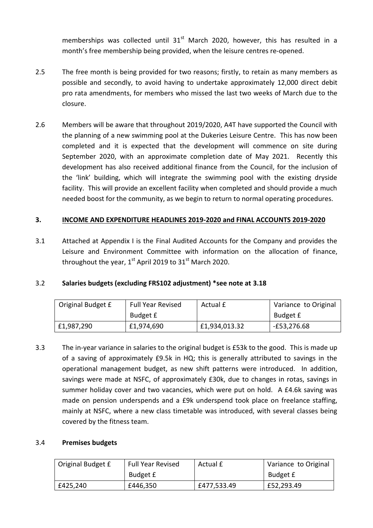memberships was collected until  $31<sup>st</sup>$  March 2020, however, this has resulted in a month's free membership being provided, when the leisure centres re-opened.

- 2.5 The free month is being provided for two reasons; firstly, to retain as many members as possible and secondly, to avoid having to undertake approximately 12,000 direct debit pro rata amendments, for members who missed the last two weeks of March due to the closure.
- 2.6 Members will be aware that throughout 2019/2020, A4T have supported the Council with the planning of a new swimming pool at the Dukeries Leisure Centre. This has now been completed and it is expected that the development will commence on site during September 2020, with an approximate completion date of May 2021. Recently this development has also received additional finance from the Council, for the inclusion of the 'link' building, which will integrate the swimming pool with the existing dryside facility. This will provide an excellent facility when completed and should provide a much needed boost for the community, as we begin to return to normal operating procedures.

# **3. INCOME AND EXPENDITURE HEADLINES 2019-2020 and FINAL ACCOUNTS 2019-2020**

3.1 Attached at Appendix I is the Final Audited Accounts for the Company and provides the Leisure and Environment Committee with information on the allocation of finance, throughout the year,  $1<sup>st</sup>$  April 2019 to 31 $<sup>st</sup>$  March 2020.</sup>

# 3.2 **Salaries budgets (excluding FRS102 adjustment) \*see note at 3.18**

| Original Budget £ | <b>Full Year Revised</b> | Actual £      | Variance to Original |  |
|-------------------|--------------------------|---------------|----------------------|--|
|                   | Budget £                 |               | Budget £             |  |
| £1,987,290        | £1,974,690               | £1,934,013.32 | E53,276.68           |  |

3.3 The in-year variance in salaries to the original budget is £53k to the good. This is made up of a saving of approximately £9.5k in HQ; this is generally attributed to savings in the operational management budget, as new shift patterns were introduced. In addition, savings were made at NSFC, of approximately £30k, due to changes in rotas, savings in summer holiday cover and two vacancies, which were put on hold. A £4.6k saving was made on pension underspends and a £9k underspend took place on freelance staffing, mainly at NSFC, where a new class timetable was introduced, with several classes being covered by the fitness team.

#### 3.4 **Premises budgets**

| Original Budget £ | Full Year Revised<br>Actual £ |             | Variance to Original |  |
|-------------------|-------------------------------|-------------|----------------------|--|
|                   | Budget £                      |             | Budget £             |  |
| £425,240          | £446,350                      | £477,533.49 | £52,293.49           |  |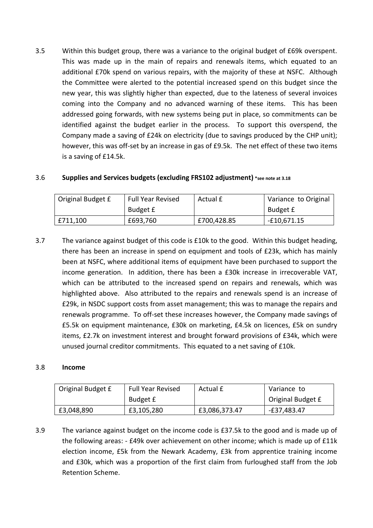3.5 Within this budget group, there was a variance to the original budget of £69k overspent. This was made up in the main of repairs and renewals items, which equated to an additional £70k spend on various repairs, with the majority of these at NSFC. Although the Committee were alerted to the potential increased spend on this budget since the new year, this was slightly higher than expected, due to the lateness of several invoices coming into the Company and no advanced warning of these items. This has been addressed going forwards, with new systems being put in place, so commitments can be identified against the budget earlier in the process. To support this overspend, the Company made a saving of £24k on electricity (due to savings produced by the CHP unit); however, this was off-set by an increase in gas of £9.5k. The net effect of these two items is a saving of £14.5k.

### 3.6 **Supplies and Services budgets (excluding FRS102 adjustment) \*see note at 3.18**

| Original Budget £ | <b>Full Year Revised</b> | Actual £    | Variance to Original |  |
|-------------------|--------------------------|-------------|----------------------|--|
|                   | Budget £                 |             | Budget £             |  |
| £711,100          | £693,760                 | £700,428.85 | $-£10,671.15$        |  |

3.7 The variance against budget of this code is £10k to the good. Within this budget heading, there has been an increase in spend on equipment and tools of £23k, which has mainly been at NSFC, where additional items of equipment have been purchased to support the income generation. In addition, there has been a £30k increase in irrecoverable VAT, which can be attributed to the increased spend on repairs and renewals, which was highlighted above. Also attributed to the repairs and renewals spend is an increase of £29k, in NSDC support costs from asset management; this was to manage the repairs and renewals programme. To off-set these increases however, the Company made savings of £5.5k on equipment maintenance, £30k on marketing, £4.5k on licences, £5k on sundry items, £2.7k on investment interest and brought forward provisions of £34k, which were unused journal creditor commitments. This equated to a net saving of £10k.

### 3.8 **Income**

| Original Budget £ | <b>Full Year Revised</b> | Actual £      | Variance to       |
|-------------------|--------------------------|---------------|-------------------|
|                   | Budget £                 |               | Original Budget £ |
| £3,048,890        | £3,105,280               | £3,086,373.47 | -£37,483.47       |

3.9 The variance against budget on the income code is £37.5k to the good and is made up of the following areas: - £49k over achievement on other income; which is made up of £11k election income, £5k from the Newark Academy, £3k from apprentice training income and £30k, which was a proportion of the first claim from furloughed staff from the Job Retention Scheme.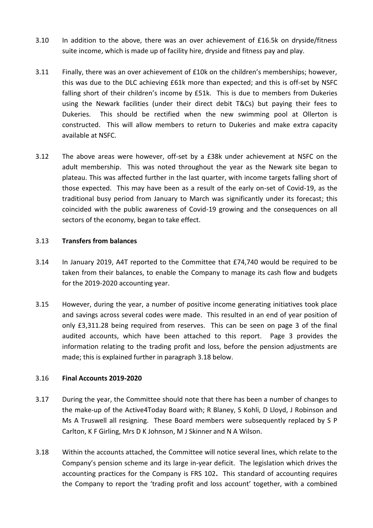- 3.10 In addition to the above, there was an over achievement of £16.5k on dryside/fitness suite income, which is made up of facility hire, dryside and fitness pay and play.
- 3.11 Finally, there was an over achievement of £10k on the children's memberships; however, this was due to the DLC achieving £61k more than expected; and this is off-set by NSFC falling short of their children's income by £51k. This is due to members from Dukeries using the Newark facilities (under their direct debit T&Cs) but paying their fees to Dukeries. This should be rectified when the new swimming pool at Ollerton is constructed. This will allow members to return to Dukeries and make extra capacity available at NSFC.
- 3.12 The above areas were however, off-set by a £38k under achievement at NSFC on the adult membership. This was noted throughout the year as the Newark site began to plateau. This was affected further in the last quarter, with income targets falling short of those expected. This may have been as a result of the early on-set of Covid-19, as the traditional busy period from January to March was significantly under its forecast; this coincided with the public awareness of Covid-19 growing and the consequences on all sectors of the economy, began to take effect.

#### 3.13 **Transfers from balances**

- 3.14 In January 2019, A4T reported to the Committee that £74,740 would be required to be taken from their balances, to enable the Company to manage its cash flow and budgets for the 2019-2020 accounting year.
- 3.15 However, during the year, a number of positive income generating initiatives took place and savings across several codes were made. This resulted in an end of year position of only £3,311.28 being required from reserves. This can be seen on page 3 of the final audited accounts, which have been attached to this report. Page 3 provides the information relating to the trading profit and loss, before the pension adjustments are made; this is explained further in paragraph 3.18 below.

#### 3.16 **Final Accounts 2019-2020**

- 3.17 During the year, the Committee should note that there has been a number of changes to the make-up of the Active4Today Board with; R Blaney, S Kohli, D Lloyd, J Robinson and Ms A Truswell all resigning. These Board members were subsequently replaced by S P Carlton, K F Girling, Mrs D K Johnson, M J Skinner and N A Wilson.
- 3.18 Within the accounts attached, the Committee will notice several lines, which relate to the Company's pension scheme and its large in-year deficit. The legislation which drives the accounting practices for the Company is FRS 102**.** This standard of accounting requires the Company to report the 'trading profit and loss account' together, with a combined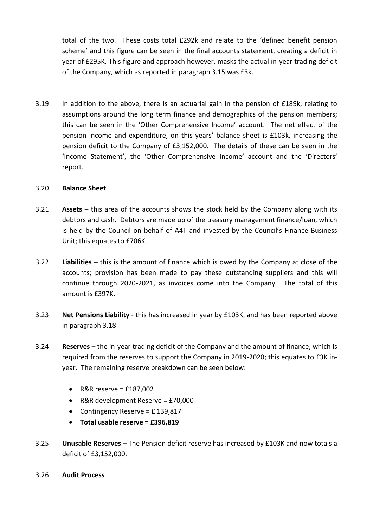total of the two. These costs total £292k and relate to the 'defined benefit pension scheme' and this figure can be seen in the final accounts statement, creating a deficit in year of £295K. This figure and approach however, masks the actual in-year trading deficit of the Company, which as reported in paragraph 3.15 was £3k.

3.19 In addition to the above, there is an actuarial gain in the pension of £189k, relating to assumptions around the long term finance and demographics of the pension members; this can be seen in the 'Other Comprehensive Income' account. The net effect of the pension income and expenditure, on this years' balance sheet is £103k, increasing the pension deficit to the Company of £3,152,000. The details of these can be seen in the 'Income Statement', the 'Other Comprehensive Income' account and the 'Directors' report.

#### 3.20 **Balance Sheet**

- 3.21 **Assets** this area of the accounts shows the stock held by the Company along with its debtors and cash. Debtors are made up of the treasury management finance/loan, which is held by the Council on behalf of A4T and invested by the Council's Finance Business Unit; this equates to £706K.
- 3.22 **Liabilities** this is the amount of finance which is owed by the Company at close of the accounts; provision has been made to pay these outstanding suppliers and this will continue through 2020-2021, as invoices come into the Company. The total of this amount is £397K.
- 3.23 **Net Pensions Liability** this has increased in year by £103K, and has been reported above in paragraph 3.18
- 3.24 **Reserves** the in-year trading deficit of the Company and the amount of finance, which is required from the reserves to support the Company in 2019-2020; this equates to £3K inyear. The remaining reserve breakdown can be seen below:
	- $\bullet$  R&R reserve = £187,002
	- R&R development Reserve = £70,000
	- Contingency Reserve = £ 139,817
	- **Total usable reserve = £396,819**
- 3.25 **Unusable Reserves** The Pension deficit reserve has increased by £103K and now totals a deficit of £3,152,000.
- 3.26 **Audit Process**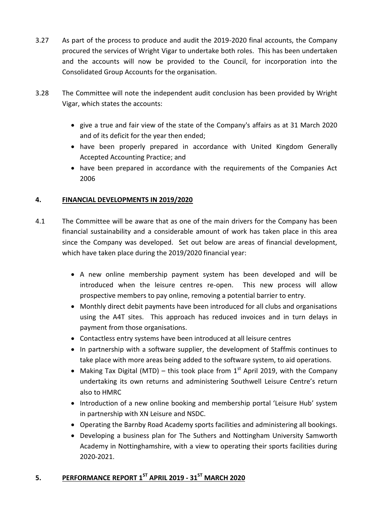- 3.27 As part of the process to produce and audit the 2019-2020 final accounts, the Company procured the services of Wright Vigar to undertake both roles. This has been undertaken and the accounts will now be provided to the Council, for incorporation into the Consolidated Group Accounts for the organisation.
- 3.28 The Committee will note the independent audit conclusion has been provided by Wright Vigar, which states the accounts:
	- give a true and fair view of the state of the Company's affairs as at 31 March 2020 and of its deficit for the year then ended;
	- have been properly prepared in accordance with United Kingdom Generally Accepted Accounting Practice; and
	- have been prepared in accordance with the requirements of the Companies Act 2006

# **4. FINANCIAL DEVELOPMENTS IN 2019/2020**

- 4.1 The Committee will be aware that as one of the main drivers for the Company has been financial sustainability and a considerable amount of work has taken place in this area since the Company was developed. Set out below are areas of financial development, which have taken place during the 2019/2020 financial year:
	- A new online membership payment system has been developed and will be introduced when the leisure centres re-open. This new process will allow prospective members to pay online, removing a potential barrier to entry.
	- Monthly direct debit payments have been introduced for all clubs and organisations using the A4T sites. This approach has reduced invoices and in turn delays in payment from those organisations.
	- Contactless entry systems have been introduced at all leisure centres
	- In partnership with a software supplier, the development of Staffmis continues to take place with more areas being added to the software system, to aid operations.
	- Making Tax Digital (MTD) this took place from  $1<sup>st</sup>$  April 2019, with the Company undertaking its own returns and administering Southwell Leisure Centre's return also to HMRC
	- Introduction of a new online booking and membership portal 'Leisure Hub' system in partnership with XN Leisure and NSDC.
	- Operating the Barnby Road Academy sports facilities and administering all bookings.
	- Developing a business plan for The Suthers and Nottingham University Samworth Academy in Nottinghamshire, with a view to operating their sports facilities during 2020-2021.

# **5. PERFORMANCE REPORT 1ST APRIL 2019 - 31ST MARCH 2020**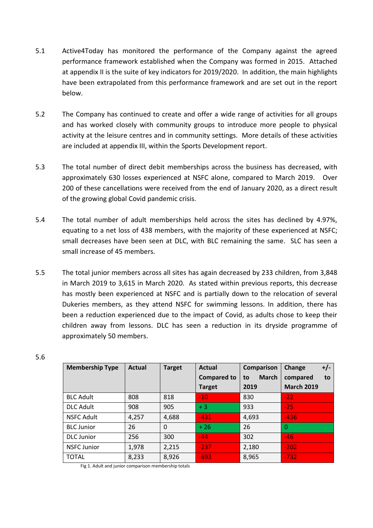- 5.1 Active4Today has monitored the performance of the Company against the agreed performance framework established when the Company was formed in 2015. Attached at appendix II is the suite of key indicators for 2019/2020. In addition, the main highlights have been extrapolated from this performance framework and are set out in the report below.
- 5.2 The Company has continued to create and offer a wide range of activities for all groups and has worked closely with community groups to introduce more people to physical activity at the leisure centres and in community settings. More details of these activities are included at appendix III, within the Sports Development report.
- 5.3 The total number of direct debit memberships across the business has decreased, with approximately 630 losses experienced at NSFC alone, compared to March 2019. Over 200 of these cancellations were received from the end of January 2020, as a direct result of the growing global Covid pandemic crisis.
- 5.4 The total number of adult memberships held across the sites has declined by 4.97%, equating to a net loss of 438 members, with the majority of these experienced at NSFC; small decreases have been seen at DLC, with BLC remaining the same. SLC has seen a small increase of 45 members.
- 5.5 The total junior members across all sites has again decreased by 233 children, from 3,848 in March 2019 to 3,615 in March 2020. As stated within previous reports, this decrease has mostly been experienced at NSFC and is partially down to the relocation of several Dukeries members, as they attend NSFC for swimming lessons. In addition, there has been a reduction experienced due to the impact of Covid, as adults chose to keep their children away from lessons. DLC has seen a reduction in its dryside programme of approximately 50 members.

| <b>Membership Type</b> | Actual | <b>Target</b> | <b>Actual</b>      | <b>Comparison</b>  | Change<br>$+/-$   |
|------------------------|--------|---------------|--------------------|--------------------|-------------------|
|                        |        |               | <b>Compared to</b> | <b>March</b><br>to | compared<br>to    |
|                        |        |               | <b>Target</b>      | 2019               | <b>March 2019</b> |
| <b>BLC Adult</b>       | 808    | 818           | $-10$              | 830                | $-22$             |
| <b>DLC Adult</b>       | 908    | 905           | $+3$               | 933                | $-25$             |
| <b>NSFC Adult</b>      | 4,257  | 4,688         | $-431$             | 4,693              | $-436$            |
| <b>BLC</b> Junior      | 26     | 0             | $+26$              | 26                 | $\Omega$          |
| <b>DLC</b> Junior      | 256    | 300           | $-44$              | 302                | $-46$             |
| <b>NSFC Junior</b>     | 1,978  | 2,215         | $-237$             | 2,180              | $-202$            |
| <b>TOTAL</b>           | 8,233  | 8,926         | $-693$             | 8,965              | $-732$            |

Fig 1. Adult and junior comparison membership totals

#### 5.6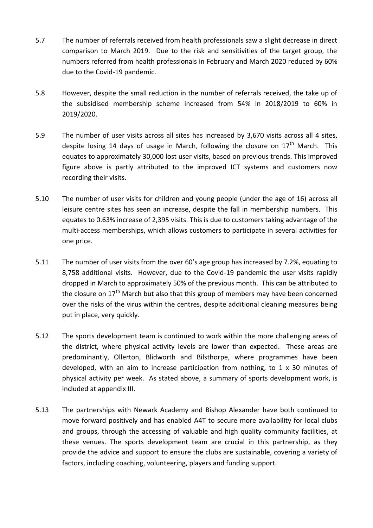- 5.7 The number of referrals received from health professionals saw a slight decrease in direct comparison to March 2019. Due to the risk and sensitivities of the target group, the numbers referred from health professionals in February and March 2020 reduced by 60% due to the Covid-19 pandemic.
- 5.8 However, despite the small reduction in the number of referrals received, the take up of the subsidised membership scheme increased from 54% in 2018/2019 to 60% in 2019/2020.
- 5.9 The number of user visits across all sites has increased by 3,670 visits across all 4 sites, despite losing 14 days of usage in March, following the closure on  $17<sup>th</sup>$  March. This equates to approximately 30,000 lost user visits, based on previous trends. This improved figure above is partly attributed to the improved ICT systems and customers now recording their visits.
- 5.10 The number of user visits for children and young people (under the age of 16) across all leisure centre sites has seen an increase, despite the fall in membership numbers. This equates to 0.63% increase of 2,395 visits. This is due to customers taking advantage of the multi-access memberships, which allows customers to participate in several activities for one price.
- 5.11 The number of user visits from the over 60's age group has increased by 7.2%, equating to 8,758 additional visits. However, due to the Covid-19 pandemic the user visits rapidly dropped in March to approximately 50% of the previous month. This can be attributed to the closure on  $17<sup>th</sup>$  March but also that this group of members may have been concerned over the risks of the virus within the centres, despite additional cleaning measures being put in place, very quickly.
- 5.12 The sports development team is continued to work within the more challenging areas of the district, where physical activity levels are lower than expected. These areas are predominantly, Ollerton, Blidworth and Bilsthorpe, where programmes have been developed, with an aim to increase participation from nothing, to 1 x 30 minutes of physical activity per week. As stated above, a summary of sports development work, is included at appendix III.
- 5.13 The partnerships with Newark Academy and Bishop Alexander have both continued to move forward positively and has enabled A4T to secure more availability for local clubs and groups, through the accessing of valuable and high quality community facilities, at these venues. The sports development team are crucial in this partnership, as they provide the advice and support to ensure the clubs are sustainable, covering a variety of factors, including coaching, volunteering, players and funding support.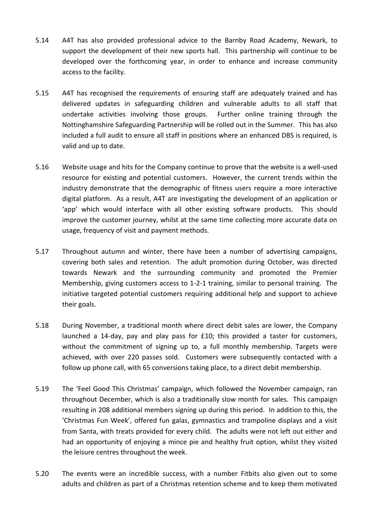- 5.14 A4T has also provided professional advice to the Barnby Road Academy, Newark, to support the development of their new sports hall. This partnership will continue to be developed over the forthcoming year, in order to enhance and increase community access to the facility.
- 5.15 A4T has recognised the requirements of ensuring staff are adequately trained and has delivered updates in safeguarding children and vulnerable adults to all staff that undertake activities involving those groups. Further online training through the Nottinghamshire Safeguarding Partnership will be rolled out in the Summer. This has also included a full audit to ensure all staff in positions where an enhanced DBS is required, is valid and up to date.
- 5.16 Website usage and hits for the Company continue to prove that the website is a well-used resource for existing and potential customers. However, the current trends within the industry demonstrate that the demographic of fitness users require a more interactive digital platform. As a result, A4T are investigating the development of an application or 'app' which would interface with all other existing software products. This should improve the customer journey, whilst at the same time collecting more accurate data on usage, frequency of visit and payment methods.
- 5.17 Throughout autumn and winter, there have been a number of advertising campaigns, covering both sales and retention. The adult promotion during October, was directed towards Newark and the surrounding community and promoted the Premier Membership, giving customers access to 1-2-1 training, similar to personal training. The initiative targeted potential customers requiring additional help and support to achieve their goals.
- 5.18 During November, a traditional month where direct debit sales are lower, the Company launched a 14-day, pay and play pass for £10; this provided a taster for customers, without the commitment of signing up to, a full monthly membership. Targets were achieved, with over 220 passes sold. Customers were subsequently contacted with a follow up phone call, with 65 conversions taking place, to a direct debit membership.
- 5.19 The 'Feel Good This Christmas' campaign, which followed the November campaign, ran throughout December, which is also a traditionally slow month for sales. This campaign resulting in 208 additional members signing up during this period. In addition to this, the 'Christmas Fun Week', offered fun galas, gymnastics and trampoline displays and a visit from Santa, with treats provided for every child. The adults were not left out either and had an opportunity of enjoying a mince pie and healthy fruit option, whilst they visited the leisure centres throughout the week.
- 5.20 The events were an incredible success, with a number Fitbits also given out to some adults and children as part of a Christmas retention scheme and to keep them motivated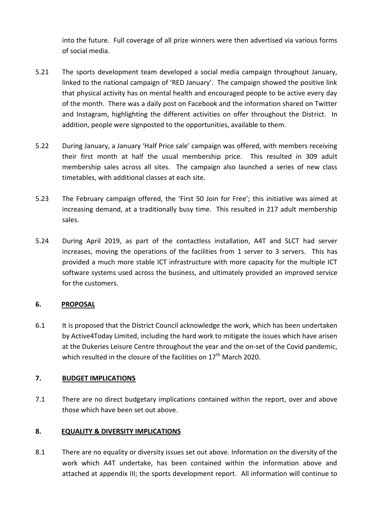into the future. Full coverage of all prize winners were then advertised via various forms of social media.

- 5.21 The sports development team developed a social media campaign throughout January, linked to the national campaign of 'RED January'. The campaign showed the positive link that physical activity has on mental health and encouraged people to be active every day of the month. There was a daily post on Facebook and the information shared on Twitter and Instagram, highlighting the different activities on offer throughout the District. In addition, people were signposted to the opportunities, available to them.
- 5.22 During January, a January 'Half Price sale' campaign was offered, with members receiving their first month at half the usual membership price. This resulted in 309 adult membership sales across all sites. The campaign also launched a series of new class timetables, with additional classes at each site.
- 5.23 The February campaign offered, the 'First 50 Join for Free'; this initiative was aimed at increasing demand, at a traditionally busy time. This resulted in 217 adult membership sales.
- 5.24 During April 2019, as part of the contactless installation, A4T and SLCT had server increases, moving the operations of the facilities from 1 server to 3 servers. This has provided a much more stable ICT infrastructure with more capacity for the multiple ICT software systems used across the business, and ultimately provided an improved service for the customers.

### **6. PROPOSAL**

6.1 It is proposed that the District Council acknowledge the work, which has been undertaken by Active4Today Limited, including the hard work to mitigate the issues which have arisen at the Dukeries Leisure Centre throughout the year and the on-set of the Covid pandemic, which resulted in the closure of the facilities on  $17<sup>th</sup>$  March 2020.

# **7. BUDGET IMPLICATIONS**

7.1 There are no direct budgetary implications contained within the report, over and above those which have been set out above.

# **8. EQUALITY & DIVERSITY IMPLICATIONS**

8.1 There are no equality or diversity issues set out above. Information on the diversity of the work which A4T undertake, has been contained within the information above and attached at appendix III; the sports development report. All information will continue to